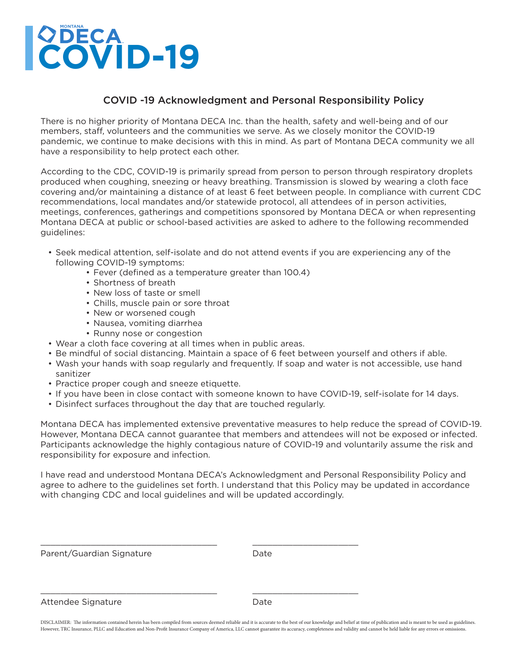# **COVID-19**

## COVID -19 Acknowledgment and Personal Responsibility Policy

There is no higher priority of Montana DECA Inc. than the health, safety and well-being and of our members, staff, volunteers and the communities we serve. As we closely monitor the COVID-19 pandemic, we continue to make decisions with this in mind. As part of Montana DECA community we all have a responsibility to help protect each other.

According to the CDC, COVID-19 is primarily spread from person to person through respiratory droplets produced when coughing, sneezing or heavy breathing. Transmission is slowed by wearing a cloth face covering and/or maintaining a distance of at least 6 feet between people. In compliance with current CDC recommendations, local mandates and/or statewide protocol, all attendees of in person activities, meetings, conferences, gatherings and competitions sponsored by Montana DECA or when representing Montana DECA at public or school-based activities are asked to adhere to the following recommended guidelines:

- Seek medical attention, self-isolate and do not attend events if you are experiencing any of the following COVID-19 symptoms:
	- Fever (defined as a temperature greater than 100.4)
	- Shortness of breath
	- New loss of taste or smell
	- Chills, muscle pain or sore throat
	- New or worsened cough
	- Nausea, vomiting diarrhea
	- Runny nose or congestion
- Wear a cloth face covering at all times when in public areas.
- Be mindful of social distancing. Maintain a space of 6 feet between yourself and others if able.
- Wash your hands with soap regularly and frequently. If soap and water is not accessible, use hand sanitizer
- Practice proper cough and sneeze etiquette.
- If you have been in close contact with someone known to have COVID-19, self-isolate for 14 days.
- Disinfect surfaces throughout the day that are touched regularly.

\_\_\_\_\_\_\_\_\_\_\_\_\_\_\_\_\_\_\_\_\_\_\_\_\_\_\_\_\_\_\_\_\_\_\_ \_\_\_\_\_\_\_\_\_\_\_\_\_\_\_\_\_\_\_\_\_

\_\_\_\_\_\_\_\_\_\_\_\_\_\_\_\_\_\_\_\_\_\_\_\_\_\_\_\_\_\_\_\_\_\_\_ \_\_\_\_\_\_\_\_\_\_\_\_\_\_\_\_\_\_\_\_\_

Montana DECA has implemented extensive preventative measures to help reduce the spread of COVID-19. However, Montana DECA cannot guarantee that members and attendees will not be exposed or infected. Participants acknowledge the highly contagious nature of COVID-19 and voluntarily assume the risk and responsibility for exposure and infection.

I have read and understood Montana DECA's Acknowledgment and Personal Responsibility Policy and agree to adhere to the guidelines set forth. I understand that this Policy may be updated in accordance with changing CDC and local guidelines and will be updated accordingly.

Parent/Guardian Signature Date

#### Attendee Signature Date

DISCLAIMER: The information contained herein has been compiled from sources deemed reliable and it is accurate to the best of our knowledge and belief at time of publication and is meant to be used as guidelines. However, TRC Insurance, PLLC and Education and Non-Profit Insurance Company of America, LLC cannot guarantee its accuracy, completeness and validity and cannot be held liable for any errors or omissions.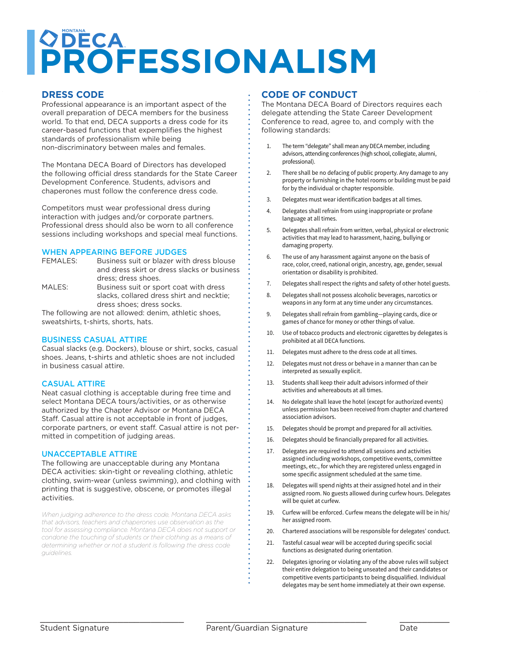## **PROFESSIONALISM QDECA** PROFESSIONALISM

#### **PRESS CODE EXECUTE ASPECT OF THE OVERALL STATE**

Professional appearance is an important aspect of the overall preparation of DECA members for the business world. To that end, DECA supports a dress code for its career-based functions that experimentes the<br>standards of professionalism while being non-discriminatory between males and females. career-based functions that expemplifies the highest

The Montana DECA Board of Directors has developed Development Conference. Students, advisors and chaperones must follow the conference dress code. the following official dress standards for the State Career

Competitors must wear professional dress during interaction with judges and/or corporate partners. sessions including workshops and special meal functions. Professional dress should also be worn to all conference

#### WHEN APPEARING BEFORE JUDGES

| FEMALES: | Business suit or blazer with dress blouse                    |
|----------|--------------------------------------------------------------|
|          | and dress skirt or dress slacks or business                  |
|          | dress: dress shoes.                                          |
| MAIETC.  | Deseto della colta della colta della colta della della della |

MALES: Business suit or sport coat with dress slacks, collared dress shirt and necktie; dress shoes; dress socks.

The following are not allowed: denim, athletic shoes, sweatshirts, t-shirts, shorts, hats.

#### BUSINESS CASUAL ATTIRE

Casual slacks (e.g. Dockers), blouse or shirt, socks, casual shoes. Jeans, t-shirts and athletic shoes are not included in business casual attire.

#### CASUAL ATTIRE

Neat casual clothing is acceptable during free time and select Montana DECA tours/activities, or as otherwise<br>sutherized by the Chapter Adviser or Mantana DECA  $\frac{1}{2}$   $\frac{1}{2}$  blowstand or dress skirt or dress skirt or dress skirt or dress skirt or dress skirt or dress skirt or dress skirt or dress skirt or dress skirt or dress skirt or dress skirt or dress skirt or dress sk Staff. Casual attire is not acceptable in front of judges, mitted in competition of judging areas. authorized by the Chapter Advisor or Montana DECA corporate partners, or event staff. Casual attire is not per-

#### UNACCEPTABLE ATTIRE

The following are unacceptable during any Montana DECA activities: skin-tight or revealing clothing, athletic clothing, swim-wear (unless swimming), and clothing with printing that is suggestive, obscene, or promotes illegal activities.

When judging adherence to the dress code, Montana DECA asks that advisors, teachers and chaperones use observation as the tool for assessing compliance. Montana DECA does not support or condone the touching of students or their clothing as a means of  $\,$ determining whether or not a student is following the dress code *guidelines.* 

**support or condone the touching of students or their clothing as a means of determining** 

### **THE BOARD OF CONDUCT**

The Montana DECA Board of Directors requires each delegate attending the State Career Development Conference to read, agree to, and comply with the following standards:

- 1. The term "delegate" shall mean any DECA member, including advisors, attending conferences (high school, collegiate, alumni, professional).
- 2. There shall be no defacing of public property. Any damage to any property or furnishing in the hotel rooms or building must be paid for by the individual or chapter responsible.
- 3. Delegates must wear identification badges at all times.
- 4. Delegates shall refrain from using inappropriate or profane language at all times.
- 5. Delegates shall refrain from written, verbal, physical or electronic activities that may lead to harassment, hazing, bullying or damaging property.
- 6. The use of any harassment against anyone on the basis of race, color, creed, national origin, ancestry, age, gender, sexual orientation or disability is prohibited.
- 7. Delegates shall respect the rights and safety of other hotel guests.
- 8. Delegates shall not possess alcoholic beverages, narcotics or weapons in any form at any time under any circumstances.
- 9. Delegates shall refrain from gambling—playing cards, dice or games of chance for money or other things of value.
- 10. Use of tobacco products and electronic cigarettes by delegates is prohibited at all DECA functions.
- 11. Delegates must adhere to the dress code at all times.
- 12. Delegates must not dress or behave in a manner than can be interpreted as sexually explicit.
- 13. Students shall keep their adult advisors informed of their activities and whereabouts at all times.
- 14. No delegate shall leave the hotel (except for authorized events) unless permission has been received from chapter and chartered association advisors.
- 15. Delegates should be prompt and prepared for all activities.
- 16. Delegates should be financially prepared for all activities.
- 17. Delegates are required to attend all sessions and activities assigned including workshops, competitive events, committee meetings, etc., for which they are registered unless engaged in some specific assignment scheduled at the same time.
- 18. Delegates will spend nights at their assigned hotel and in their assigned room. No guests allowed during curfew hours. Delegates will be quiet at curfew.
- 19. Curfew will be enforced. Curfew means the delegate will be in his/ her assigned room.
- 20. Chartered associations will be responsible for delegates' conduct.
- 21. Tasteful casual wear will be accepted during specific social functions as designated during orientation.
- 22. Delegates ignoring or violating any of the above rules will subject their entire delegation to being unseated and their candidates or competitive events participants to being disqualified. Individual delegates may be sent home immediately at their own expense.

\_\_\_\_\_\_\_\_\_\_\_\_\_\_\_\_\_\_\_\_\_\_\_\_\_\_ \_\_\_\_\_\_\_\_\_\_\_\_\_\_\_\_\_\_\_\_\_\_\_\_\_\_\_\_\_ \_\_\_\_\_\_\_\_\_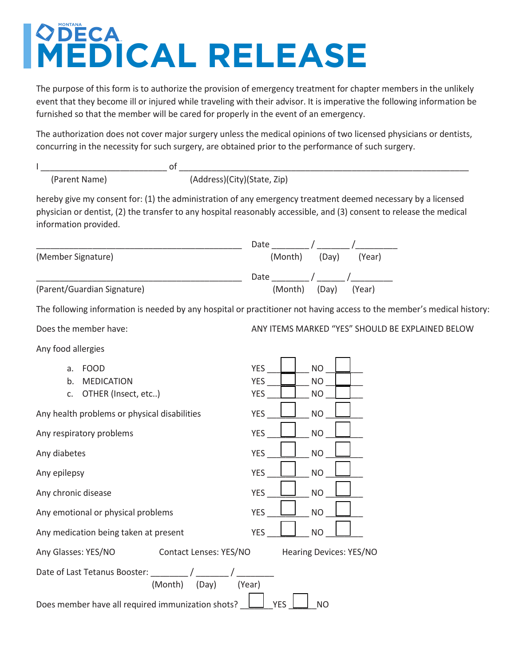## **MERICA PART I**  MONTANA<br> **Exercise Authorization Authorization Authorization Authorization Authorization Authorization Authorization MEDICAL RELEASE**

The purpose of this form is to authorize the provision of emergency treatment for chapter members in the unlikely event that they become ill or injured while traveling with their advisor. It is imperative the following information be furnished so that the member will be cared for properly in the event of an emergency.

The authorization does not cover major surgery unless the medical opinions of two licensed physicians or dentists, concurring in the necessity for such surgery, are obtained prior to the performance of such surgery.

| (Parent Name) | (Address)(City)(State, Zip) |
|---------------|-----------------------------|

hereby give my consent for: (1) the administration of any emergency treatment deemed necessary by a licensed physician or dentist, (2) the transfer to any hospital reasonably accessible, and (3) consent to release the medical information provided.

|                    | Date                    |
|--------------------|-------------------------|
| (Member Signature) | (Month) (Day)<br>(Year) |
|                    | Date                    |
|                    |                         |

The following information is needed by any hospital or practitioner not having access to the member's medical history:

Does the member have: ANY ITEMS MARKED "YES" SHOULD BE EXPLAINED BELOW

Any food allergies

- 
- 
- c. OTHER (Insect, etc..)  $YES \tcup NO$

Any health problems or physical disabilities  $YES$   $\Box$  NO

Any respiratory problems The Many respiratory problems

Any chronic disease The Contract of the YES **Leaper** NO

Any emotional or physical problems YES \_\_\_\_\_\_\_\_\_\_\_\_\_ NO

Any medication being taken at present YES NO

a. FOOD YES \_\_\_\_\_\_\_\_\_\_\_ NO \_\_\_\_\_\_\_\_\_ b. MEDICATION YES NO Any diabetes YES \_\_\_\_\_\_\_\_\_ NO \_\_\_\_\_\_\_\_ Any epilepsy No. 2012 12:00 NO 2012 12:00 NO Any Glasses: YES/NO Contact Lenses: YES/NO Hearing Devices: YES/NO

Date of Last Tetanus Booster: \_\_\_\_\_\_\_\_ / \_\_\_\_\_\_\_ / \_\_\_\_\_\_\_\_\_\_ (Month) (Day) (Year)

Does member have all required immunization shots?  $\Box$  YES  $\Box$  NO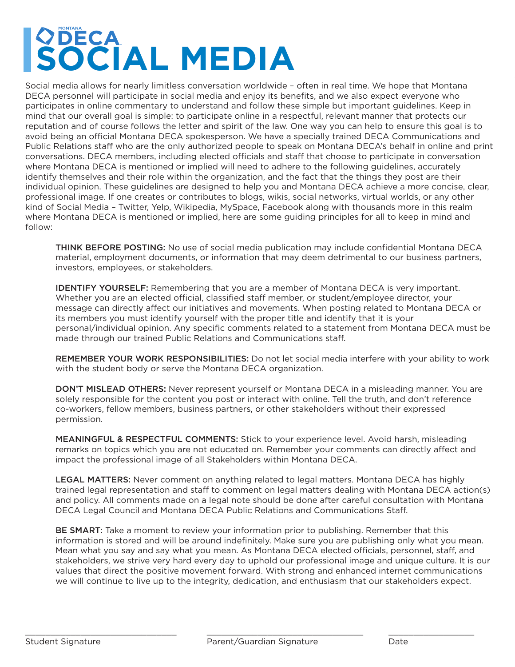## SOCIAL MONTANA **COECA BOLLEY SOCIAL MEDIA**

Social media allows for nearly limitless conversation worldwide – often in real time. We hope that Montana DECA personnel will participate in social media and enjoy its benefits, and we also expect everyone who participates in online commentary to understand and follow these simple but important guidelines. Keep in mind that our overall goal is simple: to participate online in a respectful, relevant manner that protects our reputation and of course follows the letter and spirit of the law. One way you can help to ensure this goal is to avoid being an official Montana DECA spokesperson. We have a specially trained DECA Communications and Public Relations staff who are the only authorized people to speak on Montana DECA's behalf in online and print conversations. DECA members, including elected officials and staff that choose to participate in conversation where Montana DECA is mentioned or implied will need to adhere to the following guidelines, accurately identify themselves and their role within the organization, and the fact that the things they post are their individual opinion. These guidelines are designed to help you and Montana DECA achieve a more concise, clear, professional image. If one creates or contributes to blogs, wikis, social networks, virtual worlds, or any other kind of Social Media – Twitter, Yelp, Wikipedia, MySpace, Facebook along with thousands more in this realm where Montana DECA is mentioned or implied, here are some guiding principles for all to keep in mind and follow:

THINK BEFORE POSTING: No use of social media publication may include confidential Montana DECA material, employment documents, or information that may deem detrimental to our business partners, investors, employees, or stakeholders.

IDENTIFY YOURSELF: Remembering that you are a member of Montana DECA is very important. Whether you are an elected official, classified staff member, or student/employee director, your message can directly affect our initiatives and movements. When posting related to Montana DECA or its members you must identify yourself with the proper title and identify that it is your personal/individual opinion. Any specific comments related to a statement from Montana DECA must be made through our trained Public Relations and Communications staff.

REMEMBER YOUR WORK RESPONSIBILITIES: Do not let social media interfere with your ability to work with the student body or serve the Montana DECA organization.

DON'T MISLEAD OTHERS: Never represent yourself or Montana DECA in a misleading manner. You are solely responsible for the content you post or interact with online. Tell the truth, and don't reference co-workers, fellow members, business partners, or other stakeholders without their expressed permission.

MEANINGFUL & RESPECTFUL COMMENTS: Stick to your experience level. Avoid harsh, misleading remarks on topics which you are not educated on. Remember your comments can directly affect and impact the professional image of all Stakeholders within Montana DECA.

LEGAL MATTERS: Never comment on anything related to legal matters. Montana DECA has highly trained legal representation and staff to comment on legal matters dealing with Montana DECA action(s) and policy. All comments made on a legal note should be done after careful consultation with Montana DECA Legal Council and Montana DECA Public Relations and Communications Staff.

BE SMART: Take a moment to review your information prior to publishing. Remember that this information is stored and will be around indefinitely. Make sure you are publishing only what you mean. Mean what you say and say what you mean. As Montana DECA elected officials, personnel, staff, and stakeholders, we strive very hard every day to uphold our professional image and unique culture. It is our values that direct the positive movement forward. With strong and enhanced internet communications we will continue to live up to the integrity, dedication, and enthusiasm that our stakeholders expect.